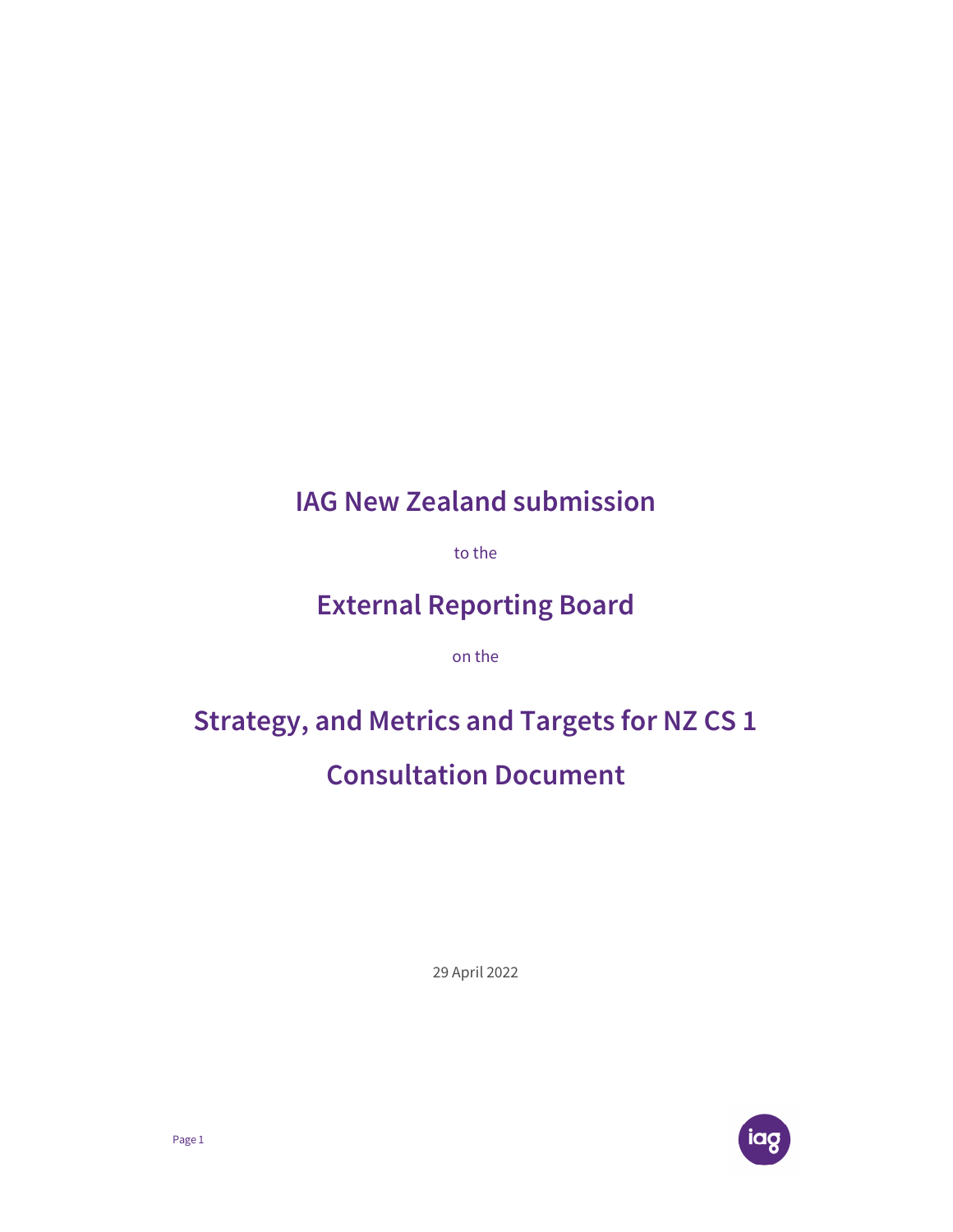## IAG New Zealand submission

to the

## External Reporting Board

on the

# Strategy, and Metrics and Targets for NZ CS 1

## Consultation Document

29 April 2022

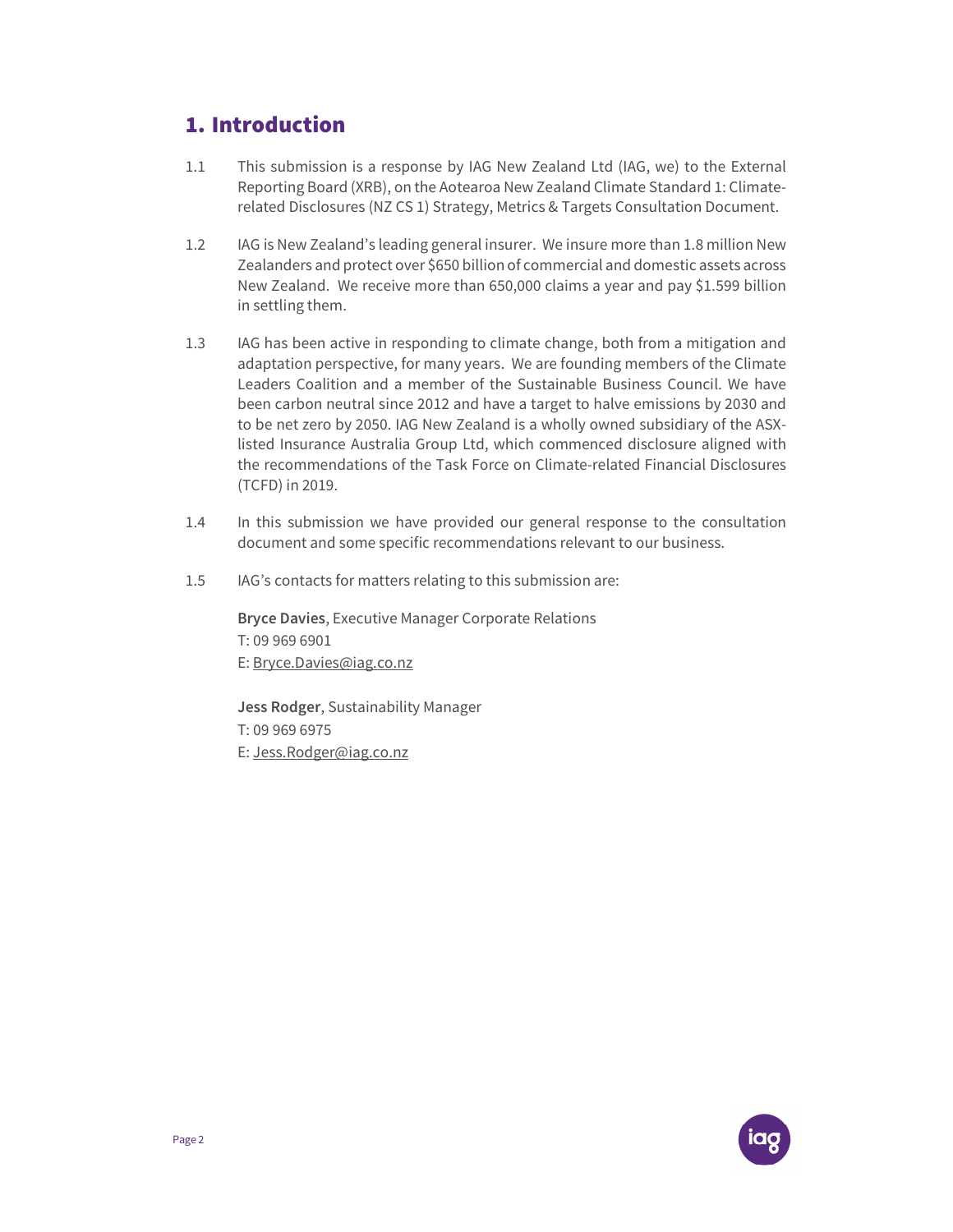## 1. Introduction

- 1.1 This submission is a response by IAG New Zealand Ltd (IAG, we) to the External Reporting Board (XRB), on the Aotearoa New Zealand Climate Standard 1: Climaterelated Disclosures (NZ CS 1) Strategy, Metrics & Targets Consultation Document.
- 1.2 IAG is New Zealand's leading general insurer. We insure more than 1.8 million New Zealanders and protect over \$650 billion of commercial and domestic assets across New Zealand. We receive more than 650,000 claims a year and pay \$1.599 billion in settling them.
- 1.3 IAG has been active in responding to climate change, both from a mitigation and adaptation perspective, for many years. We are founding members of the Climate Leaders Coalition and a member of the Sustainable Business Council. We have been carbon neutral since 2012 and have a target to halve emissions by 2030 and to be net zero by 2050. IAG New Zealand is a wholly owned subsidiary of the ASXlisted Insurance Australia Group Ltd, which commenced disclosure aligned with the recommendations of the Task Force on Climate-related Financial Disclosures (TCFD) in 2019.
- 1.4 In this submission we have provided our general response to the consultation document and some specific recommendations relevant to our business.
- 1.5 IAG's contacts for matters relating to this submission are:

Bryce Davies, Executive Manager Corporate Relations T: 09 969 6901 E: Bryce.Davies@iag.co.nz

Jess Rodger, Sustainability Manager T: 09 969 6975 E: Jess.Rodger@iag.co.nz

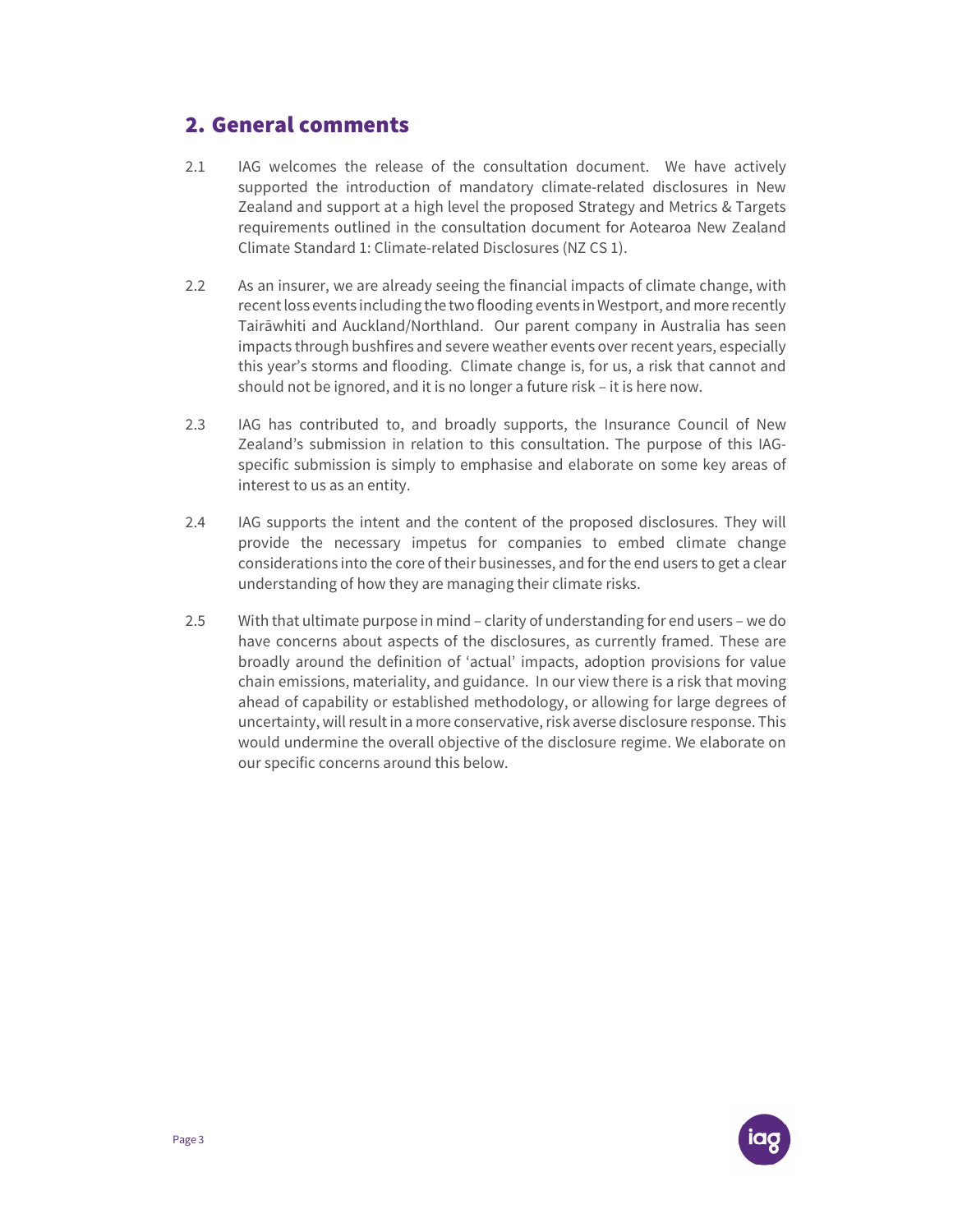### 2. General comments

- 2.1 IAG welcomes the release of the consultation document. We have actively supported the introduction of mandatory climate-related disclosures in New Zealand and support at a high level the proposed Strategy and Metrics & Targets requirements outlined in the consultation document for Aotearoa New Zealand Climate Standard 1: Climate-related Disclosures (NZ CS 1).
- 2.2 As an insurer, we are already seeing the financial impacts of climate change, with recent loss events including the two flooding events in Westport, and more recently Tairāwhiti and Auckland/Northland. Our parent company in Australia has seen impacts through bushfires and severe weather events over recent years, especially this year's storms and flooding. Climate change is, for us, a risk that cannot and should not be ignored, and it is no longer a future risk – it is here now.
- 2.3 IAG has contributed to, and broadly supports, the Insurance Council of New Zealand's submission in relation to this consultation. The purpose of this IAGspecific submission is simply to emphasise and elaborate on some key areas of interest to us as an entity.
- 2.4 IAG supports the intent and the content of the proposed disclosures. They will provide the necessary impetus for companies to embed climate change considerations into the core of their businesses, and for the end users to get a clear understanding of how they are managing their climate risks.
- 2.5 With that ultimate purpose in mind clarity of understanding for end users we do have concerns about aspects of the disclosures, as currently framed. These are broadly around the definition of 'actual' impacts, adoption provisions for value chain emissions, materiality, and guidance. In our view there is a risk that moving ahead of capability or established methodology, or allowing for large degrees of uncertainty, will result in a more conservative, risk averse disclosure response. This would undermine the overall objective of the disclosure regime. We elaborate on our specific concerns around this below.

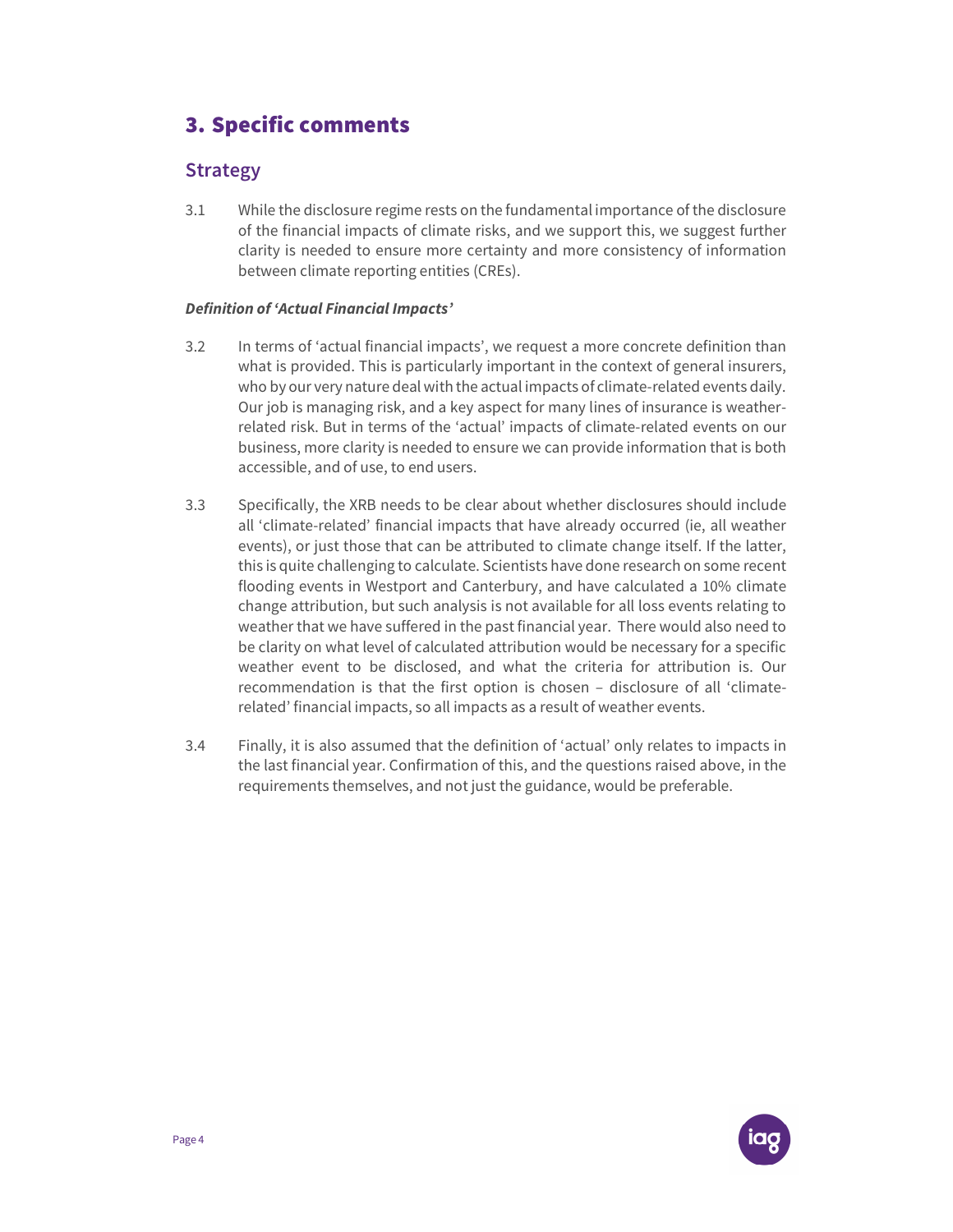## 3. Specific comments

### Strategy

3.1 While the disclosure regime rests on the fundamental importance of the disclosure of the financial impacts of climate risks, and we support this, we suggest further clarity is needed to ensure more certainty and more consistency of information between climate reporting entities (CREs).

#### Definition of 'Actual Financial Impacts'

- 3.2 In terms of 'actual financial impacts', we request a more concrete definition than what is provided. This is particularly important in the context of general insurers, who by our very nature deal with the actual impacts of climate-related events daily. Our job is managing risk, and a key aspect for many lines of insurance is weatherrelated risk. But in terms of the 'actual' impacts of climate-related events on our business, more clarity is needed to ensure we can provide information that is both accessible, and of use, to end users.
- 3.3 Specifically, the XRB needs to be clear about whether disclosures should include all 'climate-related' financial impacts that have already occurred (ie, all weather events), or just those that can be attributed to climate change itself. If the latter, this is quite challenging to calculate. Scientists have done research on some recent flooding events in Westport and Canterbury, and have calculated a 10% climate change attribution, but such analysis is not available for all loss events relating to weather that we have suffered in the past financial year. There would also need to be clarity on what level of calculated attribution would be necessary for a specific weather event to be disclosed, and what the criteria for attribution is. Our recommendation is that the first option is chosen – disclosure of all 'climaterelated' financial impacts, so all impacts as a result of weather events.
- 3.4 Finally, it is also assumed that the definition of 'actual' only relates to impacts in the last financial year. Confirmation of this, and the questions raised above, in the requirements themselves, and not just the guidance, would be preferable.

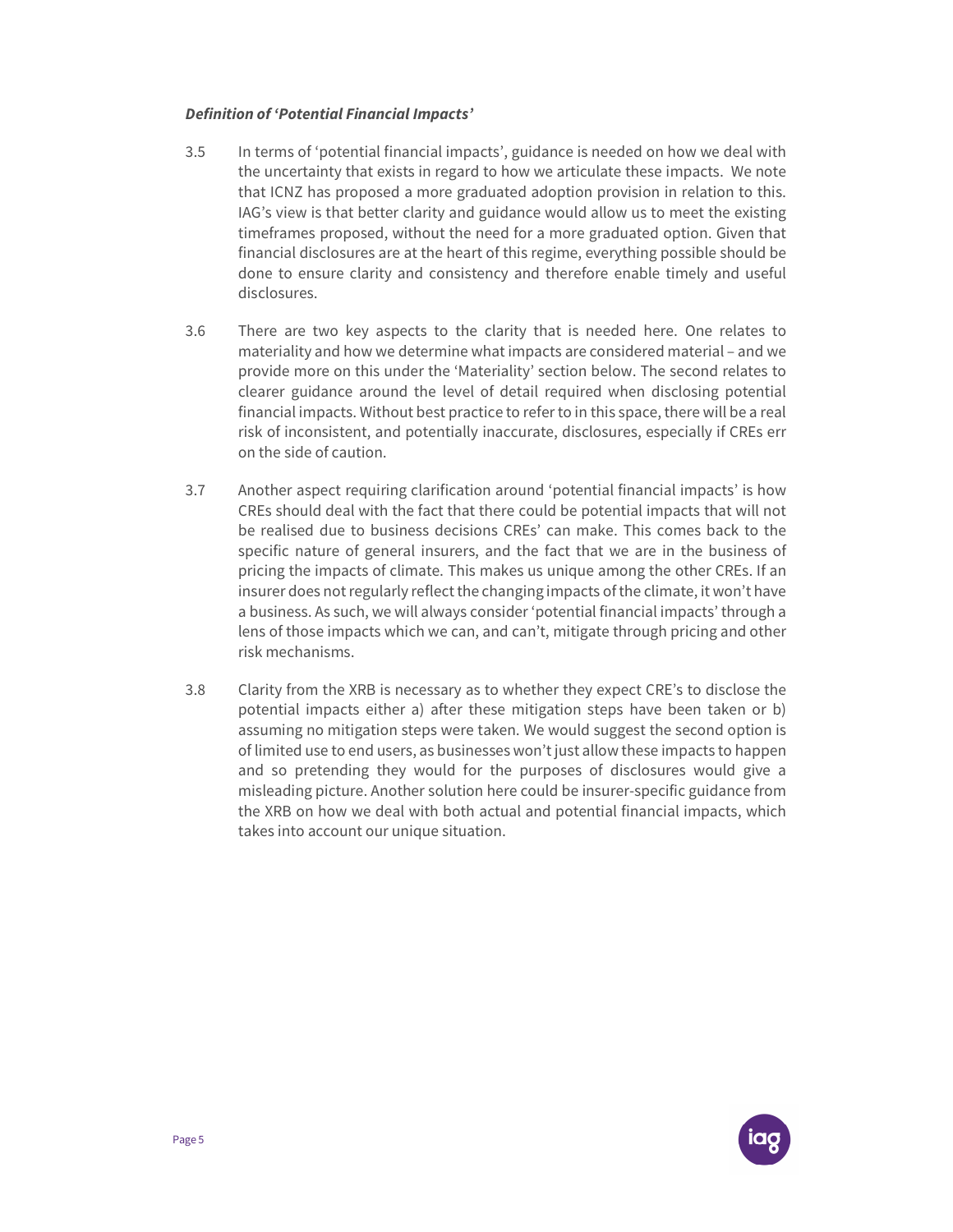#### Definition of 'Potential Financial Impacts'

- 3.5 In terms of 'potential financial impacts', guidance is needed on how we deal with the uncertainty that exists in regard to how we articulate these impacts. We note that ICNZ has proposed a more graduated adoption provision in relation to this. IAG's view is that better clarity and guidance would allow us to meet the existing timeframes proposed, without the need for a more graduated option. Given that financial disclosures are at the heart of this regime, everything possible should be done to ensure clarity and consistency and therefore enable timely and useful disclosures.
- 3.6 There are two key aspects to the clarity that is needed here. One relates to materiality and how we determine what impacts are considered material – and we provide more on this under the 'Materiality' section below. The second relates to clearer guidance around the level of detail required when disclosing potential financial impacts. Without best practice to refer to in this space, there will be a real risk of inconsistent, and potentially inaccurate, disclosures, especially if CREs err on the side of caution.
- 3.7 Another aspect requiring clarification around 'potential financial impacts' is how CREs should deal with the fact that there could be potential impacts that will not be realised due to business decisions CREs' can make. This comes back to the specific nature of general insurers, and the fact that we are in the business of pricing the impacts of climate. This makes us unique among the other CREs. If an insurer does not regularly reflect the changing impacts of the climate, it won't have a business. As such, we will always consider 'potential financial impacts' through a lens of those impacts which we can, and can't, mitigate through pricing and other risk mechanisms.
- 3.8 Clarity from the XRB is necessary as to whether they expect CRE's to disclose the potential impacts either a) after these mitigation steps have been taken or b) assuming no mitigation steps were taken. We would suggest the second option is of limited use to end users, as businesses won't just allow these impacts to happen and so pretending they would for the purposes of disclosures would give a misleading picture. Another solution here could be insurer-specific guidance from the XRB on how we deal with both actual and potential financial impacts, which takes into account our unique situation.

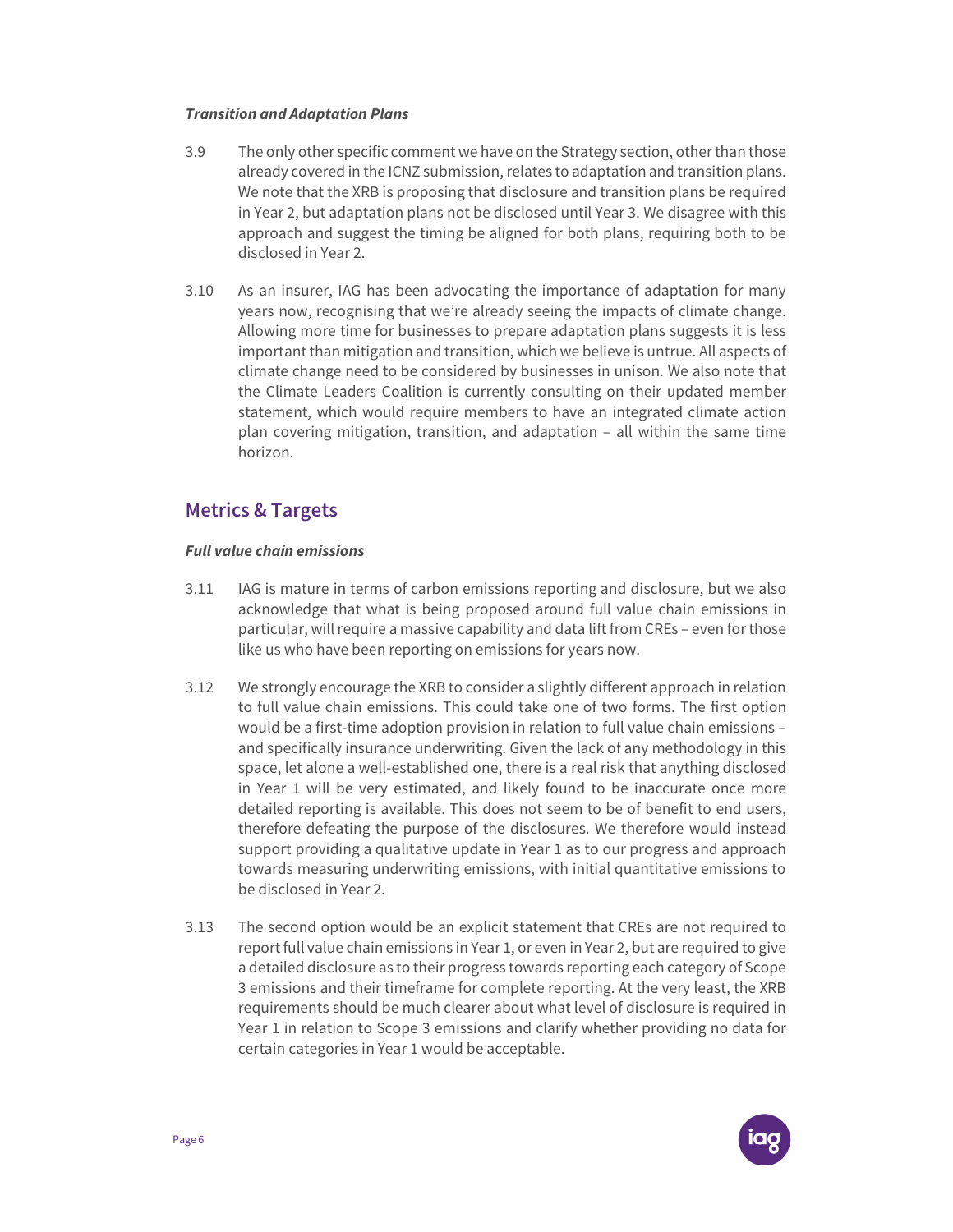#### Transition and Adaptation Plans

- 3.9 The only other specific comment we have on the Strategy section, other than those already covered in the ICNZ submission, relates to adaptation and transition plans. We note that the XRB is proposing that disclosure and transition plans be required in Year 2, but adaptation plans not be disclosed until Year 3. We disagree with this approach and suggest the timing be aligned for both plans, requiring both to be disclosed in Year 2.
- 3.10 As an insurer, IAG has been advocating the importance of adaptation for many years now, recognising that we're already seeing the impacts of climate change. Allowing more time for businesses to prepare adaptation plans suggests it is less important than mitigation and transition, which we believe is untrue. All aspects of climate change need to be considered by businesses in unison. We also note that the Climate Leaders Coalition is currently consulting on their updated member statement, which would require members to have an integrated climate action plan covering mitigation, transition, and adaptation – all within the same time horizon.

### Metrics & Targets

#### Full value chain emissions

- 3.11 IAG is mature in terms of carbon emissions reporting and disclosure, but we also acknowledge that what is being proposed around full value chain emissions in particular, will require a massive capability and data lift from CREs – even for those like us who have been reporting on emissions for years now.
- 3.12 We strongly encourage the XRB to consider a slightly different approach in relation to full value chain emissions. This could take one of two forms. The first option would be a first-time adoption provision in relation to full value chain emissions – and specifically insurance underwriting. Given the lack of any methodology in this space, let alone a well-established one, there is a real risk that anything disclosed in Year 1 will be very estimated, and likely found to be inaccurate once more detailed reporting is available. This does not seem to be of benefit to end users, therefore defeating the purpose of the disclosures. We therefore would instead support providing a qualitative update in Year 1 as to our progress and approach towards measuring underwriting emissions, with initial quantitative emissions to be disclosed in Year 2.
- 3.13 The second option would be an explicit statement that CREs are not required to report full value chain emissions in Year 1, or even in Year 2, but are required to give a detailed disclosure as to their progress towards reporting each category of Scope 3 emissions and their timeframe for complete reporting. At the very least, the XRB requirements should be much clearer about what level of disclosure is required in Year 1 in relation to Scope 3 emissions and clarify whether providing no data for certain categories in Year 1 would be acceptable.

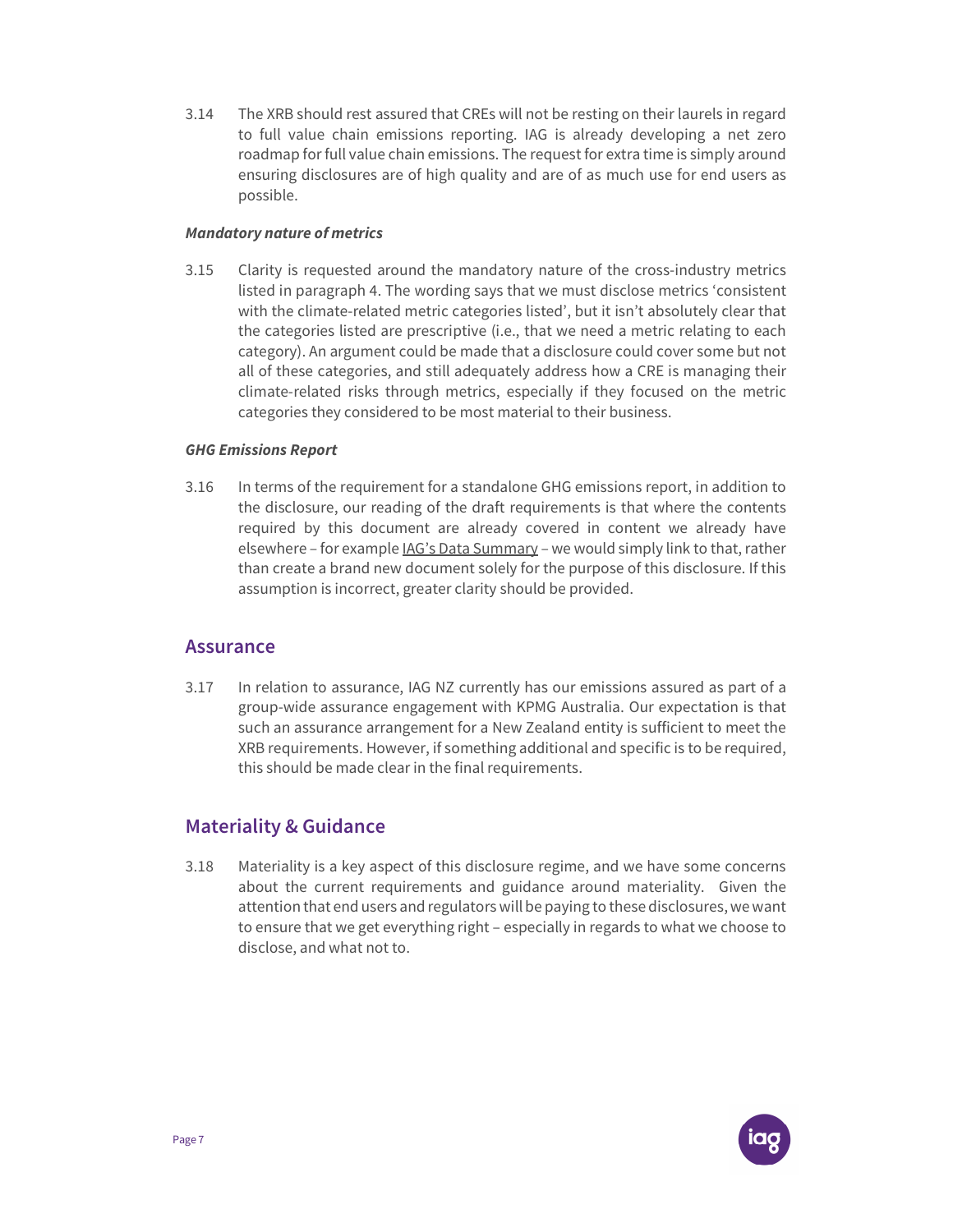3.14 The XRB should rest assured that CREs will not be resting on their laurels in regard to full value chain emissions reporting. IAG is already developing a net zero roadmap for full value chain emissions. The request for extra time is simply around ensuring disclosures are of high quality and are of as much use for end users as possible.

#### Mandatory nature of metrics

3.15 Clarity is requested around the mandatory nature of the cross-industry metrics listed in paragraph 4. The wording says that we must disclose metrics 'consistent with the climate-related metric categories listed', but it isn't absolutely clear that the categories listed are prescriptive (i.e., that we need a metric relating to each category). An argument could be made that a disclosure could cover some but not all of these categories, and still adequately address how a CRE is managing their climate-related risks through metrics, especially if they focused on the metric categories they considered to be most material to their business.

#### GHG Emissions Report

3.16 In terms of the requirement for a standalone GHG emissions report, in addition to the disclosure, our reading of the draft requirements is that where the contents required by this document are already covered in content we already have elsewhere – for example IAG's Data Summary – we would simply link to that, rather than create a brand new document solely for the purpose of this disclosure. If this assumption is incorrect, greater clarity should be provided.

#### Assurance

3.17 In relation to assurance, IAG NZ currently has our emissions assured as part of a group-wide assurance engagement with KPMG Australia. Our expectation is that such an assurance arrangement for a New Zealand entity is sufficient to meet the XRB requirements. However, if something additional and specific is to be required, this should be made clear in the final requirements.

#### Materiality & Guidance

3.18 Materiality is a key aspect of this disclosure regime, and we have some concerns about the current requirements and guidance around materiality. Given the attention that end users and regulators will be paying to these disclosures, we want to ensure that we get everything right – especially in regards to what we choose to disclose, and what not to.